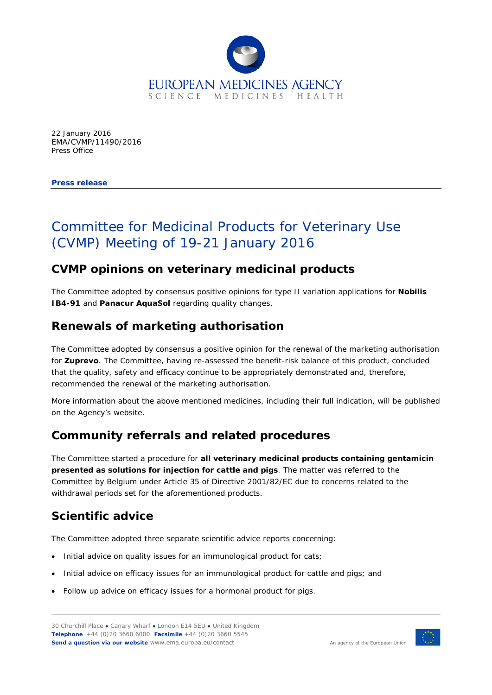

22 January 2016 EMA/CVMP/11490/2016 Press Office

**Press release**

# Committee for Medicinal Products for Veterinary Use (CVMP) Meeting of 19-21 January 2016

### **CVMP opinions on veterinary medicinal products**

The Committee adopted by consensus positive opinions for type II variation applications for **Nobilis IB4-91** and **Panacur AquaSol** regarding quality changes.

### **Renewals of marketing authorisation**

The Committee adopted by consensus a positive opinion for the renewal of the marketing authorisation for **Zuprevo**. The Committee, having re-assessed the benefit-risk balance of this product, concluded that the quality, safety and efficacy continue to be appropriately demonstrated and, therefore, recommended the renewal of the marketing authorisation.

More information about the above mentioned medicines, including their full indication, will be published on the Agency's website.

### **Community referrals and related procedures**

The Committee started a procedure for **all veterinary medicinal products containing gentamicin presented as solutions for injection for cattle and pigs**. The matter was referred to the Committee by Belgium under Article 35 of Directive 2001/82/EC due to concerns related to the withdrawal periods set for the aforementioned products.

# **Scientific advice**

The Committee adopted three separate scientific advice reports concerning:

- Initial advice on quality issues for an immunological product for cats;
- Initial advice on efficacy issues for an immunological product for cattle and pigs; and
- Follow up advice on efficacy issues for a hormonal product for pigs.

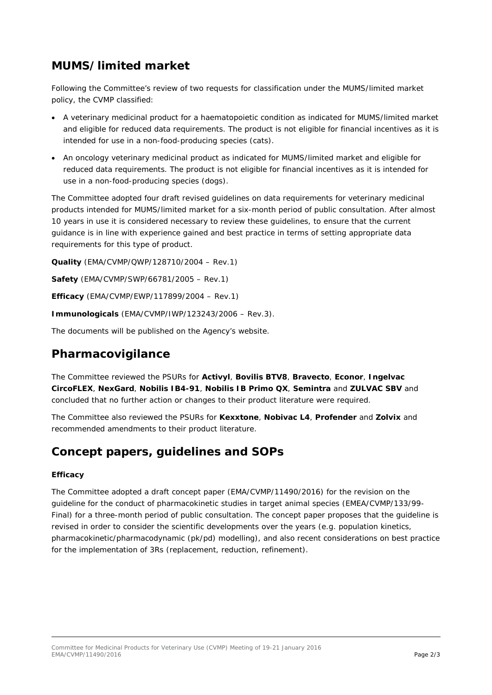# **MUMS/limited market**

Following the Committee's review of two requests for classification under the MUMS/limited market policy, the CVMP classified:

- A veterinary medicinal product for a haematopoietic condition as indicated for MUMS/limited market and eligible for reduced data requirements. The product is not eligible for financial incentives as it is intended for use in a non-food-producing species (cats).
- An oncology veterinary medicinal product as indicated for MUMS/limited market and eligible for reduced data requirements. The product is not eligible for financial incentives as it is intended for use in a non-food-producing species (dogs).

The Committee adopted four draft revised guidelines on data requirements for veterinary medicinal products intended for MUMS/limited market for a six-month period of public consultation. After almost 10 years in use it is considered necessary to review these guidelines, to ensure that the current guidance is in line with experience gained and best practice in terms of setting appropriate data requirements for this type of product.

**Quality** (EMA/CVMP/QWP/128710/2004 – Rev.1)

**Safety** (EMA/CVMP/SWP/66781/2005 – Rev.1)

**Efficacy** (EMA/CVMP/EWP/117899/2004 – Rev.1)

**Immunologicals** (EMA/CVMP/IWP/123243/2006 – Rev.3).

The documents will be published on the Agency's website.

#### **Pharmacovigilance**

The Committee reviewed the PSURs for **Activyl**, **Bovilis BTV8**, **Bravecto**, **Econor**, **Ingelvac CircoFLEX**, **NexGard**, **Nobilis IB4-91**, **Nobilis IB Primo QX**, **Semintra** and **ZULVAC SBV** and concluded that no further action or changes to their product literature were required.

The Committee also reviewed the PSURs for **Kexxtone**, **Nobivac L4**, **Profender** and **Zolvix** and recommended amendments to their product literature.

### **Concept papers, guidelines and SOPs**

#### **Efficacy**

The Committee adopted a draft concept paper (EMA/CVMP/11490/2016) for the revision on the guideline for the conduct of pharmacokinetic studies in target animal species (EMEA/CVMP/133/99- Final) for a three-month period of public consultation. The concept paper proposes that the guideline is revised in order to consider the scientific developments over the years (e.g. population kinetics, pharmacokinetic/pharmacodynamic (pk/pd) modelling), and also recent considerations on best practice for the implementation of 3Rs (replacement, reduction, refinement).